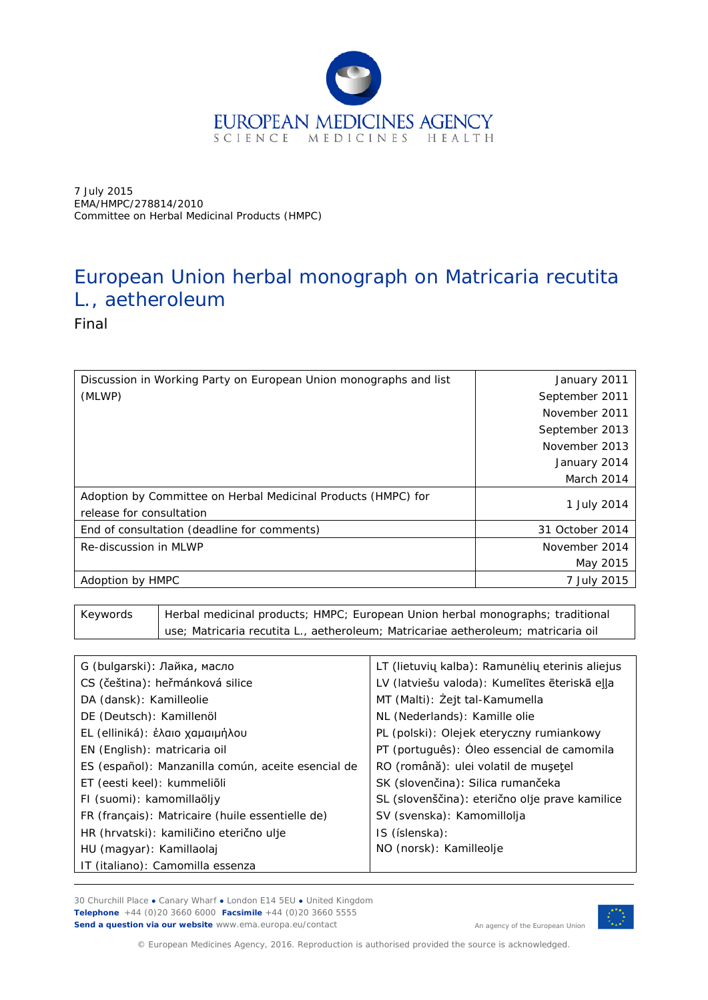

7 July 2015 EMA/HMPC/278814/2010 Committee on Herbal Medicinal Products (HMPC)

# European Union herbal monograph on *Matricaria recutita* L., aetheroleum

Final

| Discussion in Working Party on European Union monographs and list                         | January 2011    |
|-------------------------------------------------------------------------------------------|-----------------|
| (MLWP)                                                                                    | September 2011  |
|                                                                                           | November 2011   |
|                                                                                           | September 2013  |
|                                                                                           | November 2013   |
|                                                                                           | January 2014    |
|                                                                                           | March 2014      |
| Adoption by Committee on Herbal Medicinal Products (HMPC) for<br>release for consultation | 1 July 2014     |
| End of consultation (deadline for comments)                                               | 31 October 2014 |
| Re-discussion in MLWP                                                                     | November 2014   |
|                                                                                           | May 2015        |
| Adoption by HMPC                                                                          | 7 July 2015     |

Keywords | Herbal medicinal products; HMPC; European Union herbal monographs; traditional use; *Matricaria recutita* L., aetheroleum; Matricariae aetheroleum; matricaria oil

| G (bulgarski): Лайка, масло                        | LT (lietuvių kalba): Ramunėlių eterinis aliejus |
|----------------------------------------------------|-------------------------------------------------|
| CS (čeština): heřmánková silice                    | LV (latviešu valoda): Kumelītes ēteriskā eļļa   |
| DA (dansk): Kamilleolie                            | MT (Malti): Zejt tal-Kamumella                  |
| DE (Deutsch): Kamillenöl                           | NL (Nederlands): Kamille olie                   |
| EL (elliniká): έλαιο χαμαιμήλου                    | PL (polski): Olejek eteryczny rumiankowy        |
| EN (English): matricaria oil                       | PT (português): Óleo essencial de camomila      |
| ES (español): Manzanilla común, aceite esencial de | RO (română): ulei volatil de mușețel            |
| ET (eesti keel): kummeliõli                        | SK (slovenčina): Silica rumančeka               |
| FI (suomi): kamomillaöljy                          | SL (slovenščina): eterično olje prave kamilice  |
| FR (français): Matricaire (huile essentielle de)   | SV (svenska): Kamomillolja                      |
| HR (hrvatski): kamiličino eterično ulje            | IS (íslenska):                                  |
| HU (magyar): Kamillaolaj                           | NO (norsk): Kamilleolje                         |
| IT (italiano): Camomilla essenza                   |                                                 |

30 Churchill Place **●** Canary Wharf **●** London E14 5EU **●** United Kingdom **Telephone** +44 (0)20 3660 6000 **Facsimile** +44 (0)20 3660 5555 **Send a question via our website** www.ema.europa.eu/contact



An agency of the European Union

© European Medicines Agency, 2016. Reproduction is authorised provided the source is acknowledged.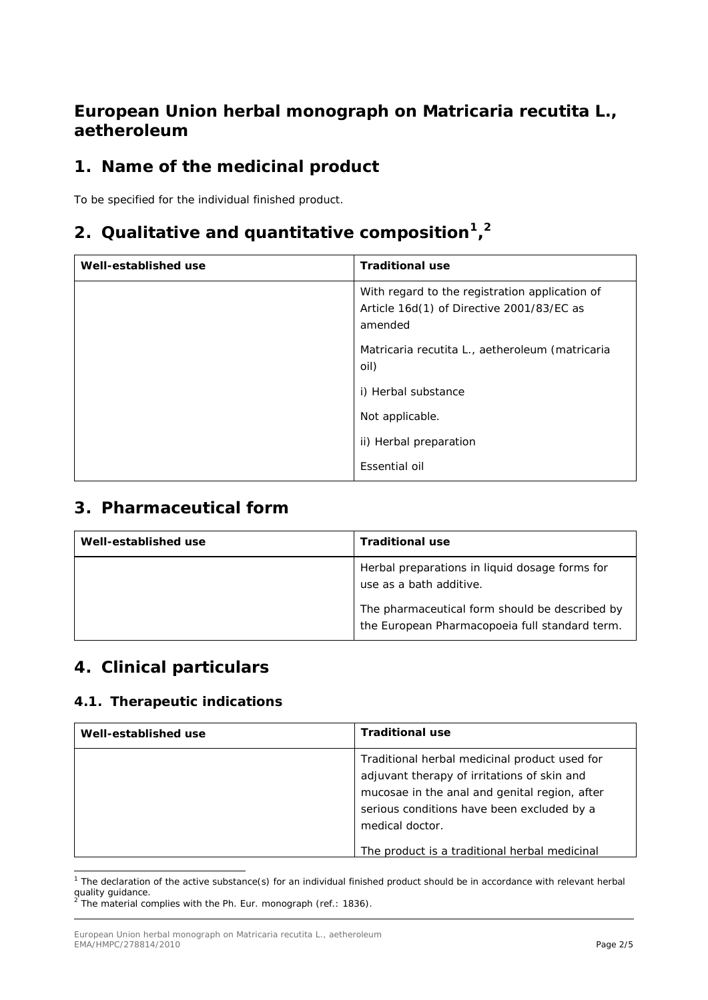# **European Union herbal monograph on** *Matricaria recutita* **L., aetheroleum**

# **1. Name of the medicinal product**

To be specified for the individual finished product.

# **2. Qualitative and quantitative composition[1,](#page-1-0) [2](#page-1-1)**

| Well-established use | <b>Traditional use</b>                                                                                 |
|----------------------|--------------------------------------------------------------------------------------------------------|
|                      | With regard to the registration application of<br>Article 16d(1) of Directive 2001/83/EC as<br>amended |
|                      | Matricaria recutita L., aetheroleum (matricaria<br>oil)                                                |
|                      | i) Herbal substance                                                                                    |
|                      | Not applicable.                                                                                        |
|                      | ii) Herbal preparation                                                                                 |
|                      | Essential oil                                                                                          |

### **3. Pharmaceutical form**

| Well-established use | <b>Traditional use</b>                                                                           |
|----------------------|--------------------------------------------------------------------------------------------------|
|                      | Herbal preparations in liquid dosage forms for<br>use as a bath additive.                        |
|                      | The pharmaceutical form should be described by<br>the European Pharmacopoeia full standard term. |

# **4. Clinical particulars**

### *4.1. Therapeutic indications*

| Well-established use | <b>Traditional use</b>                                                                                                                                                                                                                                          |
|----------------------|-----------------------------------------------------------------------------------------------------------------------------------------------------------------------------------------------------------------------------------------------------------------|
|                      | Traditional herbal medicinal product used for<br>adjuvant therapy of irritations of skin and<br>mucosae in the anal and genital region, after<br>serious conditions have been excluded by a<br>medical doctor.<br>The product is a traditional herbal medicinal |

<span id="page-1-0"></span> $1$  The declaration of the active substance(s) for an individual finished product should be in accordance with relevant herbal quality guidance.<br><sup>2</sup> The material complies with the Ph. Eur. monograph (ref.: 1836).

<span id="page-1-1"></span>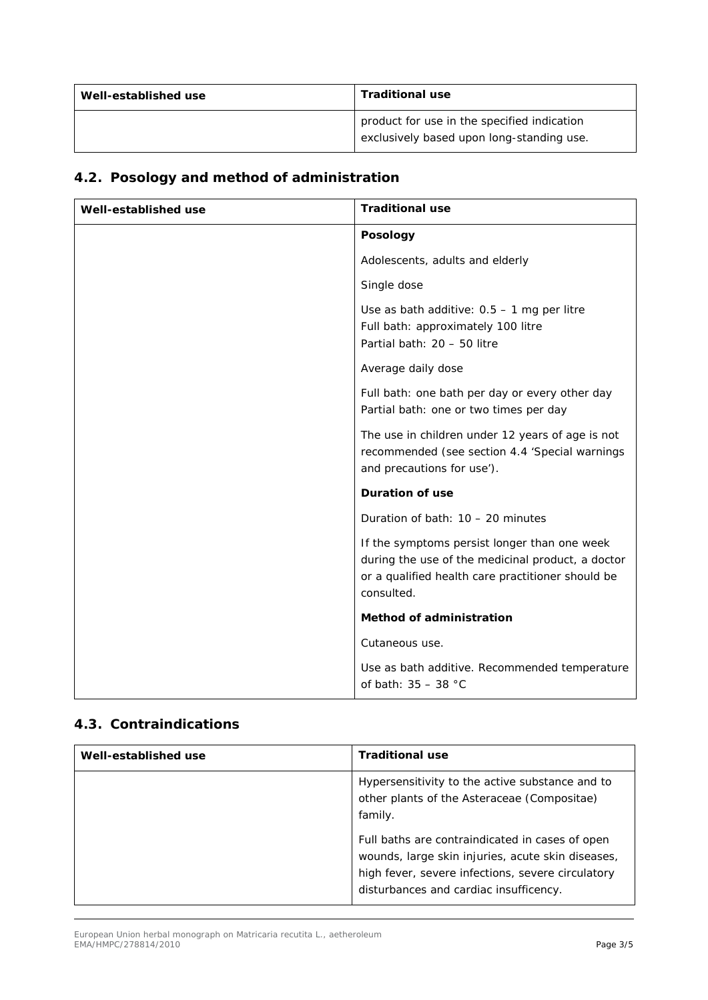| Well-established use | <b>Traditional use</b>                                                                   |
|----------------------|------------------------------------------------------------------------------------------|
|                      | product for use in the specified indication<br>exclusively based upon long-standing use. |

# *4.2. Posology and method of administration*

| Well-established use | <b>Traditional use</b>                                                                                                                                               |
|----------------------|----------------------------------------------------------------------------------------------------------------------------------------------------------------------|
|                      | <b>Posology</b>                                                                                                                                                      |
|                      | Adolescents, adults and elderly                                                                                                                                      |
|                      | Single dose                                                                                                                                                          |
|                      | Use as bath additive: $0.5 - 1$ mg per litre<br>Full bath: approximately 100 litre<br>Partial bath: 20 - 50 litre                                                    |
|                      | Average daily dose                                                                                                                                                   |
|                      | Full bath: one bath per day or every other day<br>Partial bath: one or two times per day                                                                             |
|                      | The use in children under 12 years of age is not<br>recommended (see section 4.4 'Special warnings<br>and precautions for use').                                     |
|                      | <b>Duration of use</b>                                                                                                                                               |
|                      | Duration of bath: $10 - 20$ minutes                                                                                                                                  |
|                      | If the symptoms persist longer than one week<br>during the use of the medicinal product, a doctor<br>or a qualified health care practitioner should be<br>consulted. |
|                      | <b>Method of administration</b>                                                                                                                                      |
|                      | Cutaneous use.                                                                                                                                                       |
|                      | Use as bath additive. Recommended temperature<br>of bath: $35 - 38$ °C                                                                                               |

### *4.3. Contraindications*

| Well-established use | <b>Traditional use</b>                                                                                                                                                                              |
|----------------------|-----------------------------------------------------------------------------------------------------------------------------------------------------------------------------------------------------|
|                      | Hypersensitivity to the active substance and to<br>other plants of the Asteraceae (Compositae)<br>family.                                                                                           |
|                      | Full baths are contraindicated in cases of open<br>wounds, large skin injuries, acute skin diseases,<br>high fever, severe infections, severe circulatory<br>disturbances and cardiac insufficency. |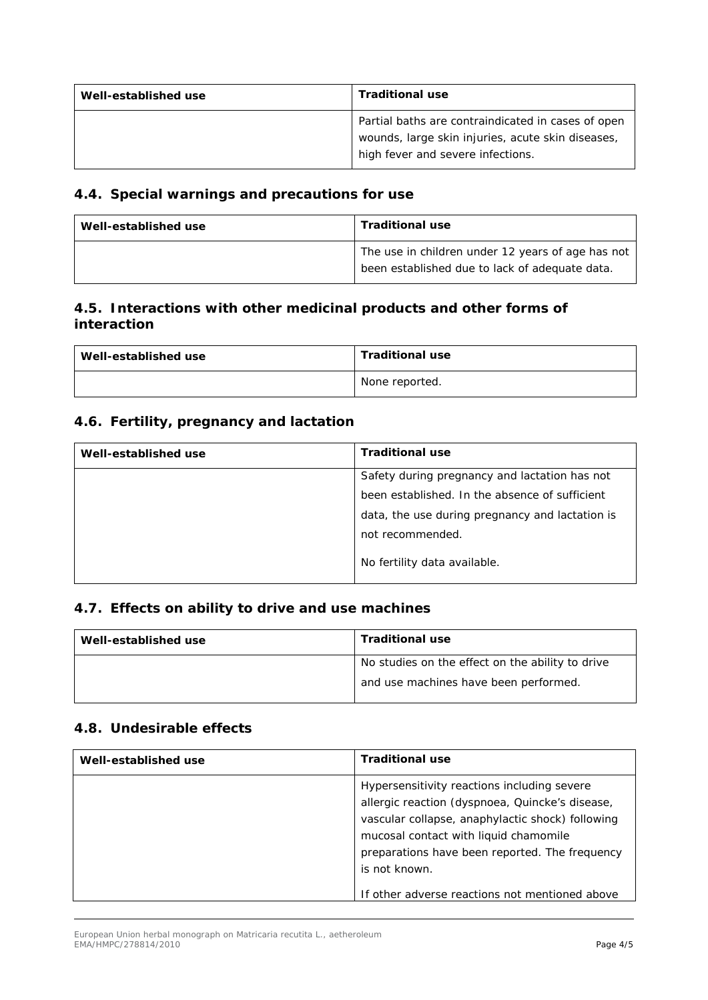| Well-established use | <b>Traditional use</b>                                                                                                                       |
|----------------------|----------------------------------------------------------------------------------------------------------------------------------------------|
|                      | Partial baths are contraindicated in cases of open<br>wounds, large skin injuries, acute skin diseases,<br>high fever and severe infections. |

#### *4.4. Special warnings and precautions for use*

| Well-established use | <b>Traditional use</b>                                                                              |
|----------------------|-----------------------------------------------------------------------------------------------------|
|                      | The use in children under 12 years of age has not<br>been established due to lack of adequate data. |

### *4.5. Interactions with other medicinal products and other forms of interaction*

| Well-established use | <b>Traditional use</b> |
|----------------------|------------------------|
|                      | None reported.         |

### *4.6. Fertility, pregnancy and lactation*

| Well-established use | <b>Traditional use</b>                          |
|----------------------|-------------------------------------------------|
|                      | Safety during pregnancy and lactation has not   |
|                      | been established. In the absence of sufficient  |
|                      | data, the use during pregnancy and lactation is |
|                      | not recommended.                                |
|                      | No fertility data available.                    |

### *4.7. Effects on ability to drive and use machines*

| Well-established use | <b>Traditional use</b>                           |
|----------------------|--------------------------------------------------|
|                      | No studies on the effect on the ability to drive |
|                      | and use machines have been performed.            |

#### *4.8. Undesirable effects*

| Well-established use | <b>Traditional use</b>                                                                                                                                                                                                                                                                                           |
|----------------------|------------------------------------------------------------------------------------------------------------------------------------------------------------------------------------------------------------------------------------------------------------------------------------------------------------------|
|                      | Hypersensitivity reactions including severe<br>allergic reaction (dyspnoea, Quincke's disease,<br>vascular collapse, anaphylactic shock) following<br>mucosal contact with liquid chamomile<br>preparations have been reported. The frequency<br>is not known.<br>If other adverse reactions not mentioned above |